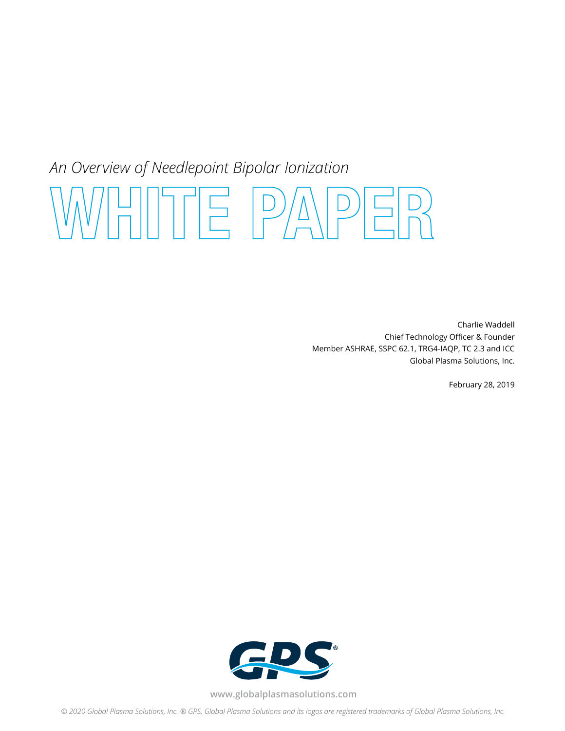## *An Overview of Needlepoint Bipolar Ionization*

# **WHITE PAPER**

Charlie Waddell Chief Technology Officer & Founder Member ASHRAE, SSPC 62.1, TRG4-IAQP, TC 2.3 and ICC Global Plasma Solutions, Inc.

February 28, 2019



**www.globalplasmasolutions.com**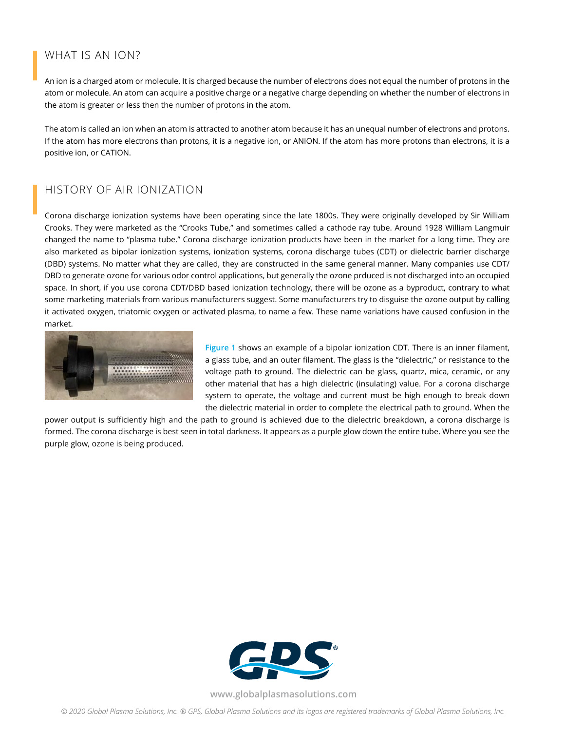### WHAT IS AN ION?

An ion is a charged atom or molecule. It is charged because the number of electrons does not equal the number of protons in the atom or molecule. An atom can acquire a positive charge or a negative charge depending on whether the number of electrons in the atom is greater or less then the number of protons in the atom.

The atom is called an ion when an atom is attracted to another atom because it has an unequal number of electrons and protons. If the atom has more electrons than protons, it is a negative ion, or ANION. If the atom has more protons than electrons, it is a positive ion, or CATION.

### HISTORY OF AIR IONIZATION

Corona discharge ionization systems have been operating since the late 1800s. They were originally developed by Sir William Crooks. They were marketed as the "Crooks Tube," and sometimes called a cathode ray tube. Around 1928 William Langmuir changed the name to "plasma tube." Corona discharge ionization products have been in the market for a long time. They are also marketed as bipolar ionization systems, ionization systems, corona discharge tubes (CDT) or dielectric barrier discharge (DBD) systems. No matter what they are called, they are constructed in the same general manner. Many companies use CDT/ DBD to generate ozone for various odor control applications, but generally the ozone prduced is not discharged into an occupied space. In short, if you use corona CDT/DBD based ionization technology, there will be ozone as a byproduct, contrary to what some marketing materials from various manufacturers suggest. Some manufacturers try to disguise the ozone output by calling it activated oxygen, triatomic oxygen or activated plasma, to name a few. These name variations have caused confusion in the market.



**Figure 1** shows an example of a bipolar ionization CDT. There is an inner filament, a glass tube, and an outer filament. The glass is the "dielectric," or resistance to the voltage path to ground. The dielectric can be glass, quartz, mica, ceramic, or any other material that has a high dielectric (insulating) value. For a corona discharge system to operate, the voltage and current must be high enough to break down the dielectric material in order to complete the electrical path to ground. When the

power output is sufficiently high and the path to ground is achieved due to the dielectric breakdown, a corona discharge is formed. The corona discharge is best seen in total darkness. It appears as a purple glow down the entire tube. Where you see the purple glow, ozone is being produced.



**www.globalplasmasolutions.com**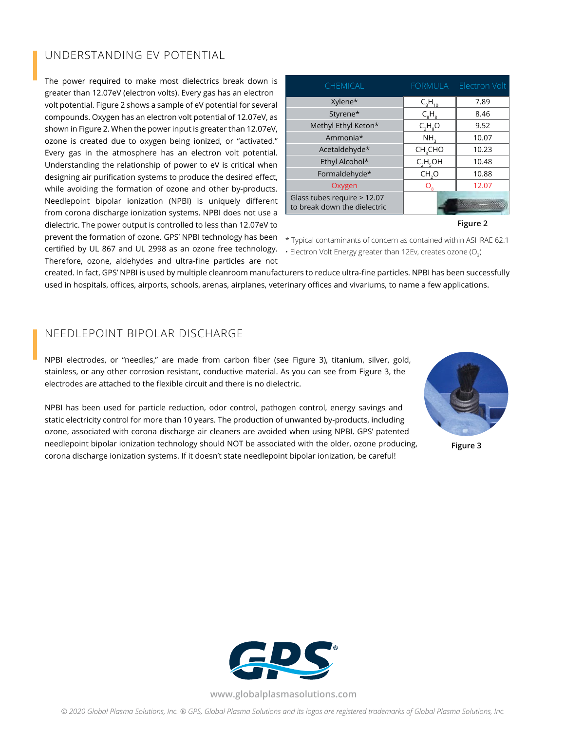### UNDERSTANDING EV POTENTIAL

The power required to make most dielectrics break down is greater than 12.07eV (electron volts). Every gas has an electron volt potential. Figure 2 shows a sample of eV potential for several compounds. Oxygen has an electron volt potential of 12.07eV, as shown in Figure 2. When the power input is greater than 12.07eV, ozone is created due to oxygen being ionized, or "activated." Every gas in the atmosphere has an electron volt potential. Understanding the relationship of power to eV is critical when designing air purification systems to produce the desired effect, while avoiding the formation of ozone and other by-products. Needlepoint bipolar ionization (NPBI) is uniquely different from corona discharge ionization systems. NPBI does not use a dielectric. The power output is controlled to less than 12.07eV to prevent the formation of ozone. GPS' NPBI technology has been certified by UL 867 and UL 2998 as an ozone free technology. Therefore, ozone, aldehydes and ultra-fine particles are not

| <b>CHEMICAL</b>                                             | <b>FORMULA</b>      | Electron Volt |  |
|-------------------------------------------------------------|---------------------|---------------|--|
| Xylene*                                                     | $C_8H_{10}$         | 7.89          |  |
| Styrene*                                                    | $C_{8}H_{8}$        | 8.46          |  |
| Methyl Ethyl Keton*                                         | $C_2H_8O$           | 9.52          |  |
| Ammonia*                                                    | NH.                 | 10.07         |  |
| Acetaldehyde*                                               | CH <sub>3</sub> CHO | 10.23         |  |
| Ethyl Alcohol*                                              | $C_2H_5OH$          | 10.48         |  |
| Formaldehyde*                                               | CH, O               | 10.88         |  |
| Oxygen                                                      | $O_{\rm g}$         | 12.07         |  |
| Glass tubes require > 12.07<br>to break down the dielectric |                     |               |  |

**Figure 2**

\* Typical contaminants of concern as contained within ASHRAE 62.1  $\cdot$  Electron Volt Energy greater than 12Ev, creates ozone (O<sub>3</sub>)

created. In fact, GPS' NPBI is used by multiple cleanroom manufacturers to reduce ultra-fine particles. NPBI has been successfully used in hospitals, offices, airports, schools, arenas, airplanes, veterinary offices and vivariums, to name a few applications.

#### NEEDLEPOINT BIPOLAR DISCHARGE

NPBI electrodes, or "needles," are made from carbon fiber (see Figure 3), titanium, silver, gold, stainless, or any other corrosion resistant, conductive material. As you can see from Figure 3, the electrodes are attached to the flexible circuit and there is no dielectric.

NPBI has been used for particle reduction, odor control, pathogen control, energy savings and static electricity control for more than 10 years. The production of unwanted by-products, including ozone, associated with corona discharge air cleaners are avoided when using NPBI. GPS' patented needlepoint bipolar ionization technology should NOT be associated with the older, ozone producing, corona discharge ionization systems. If it doesn't state needlepoint bipolar ionization, be careful!



**Figure 3**



**www.globalplasmasolutions.com**